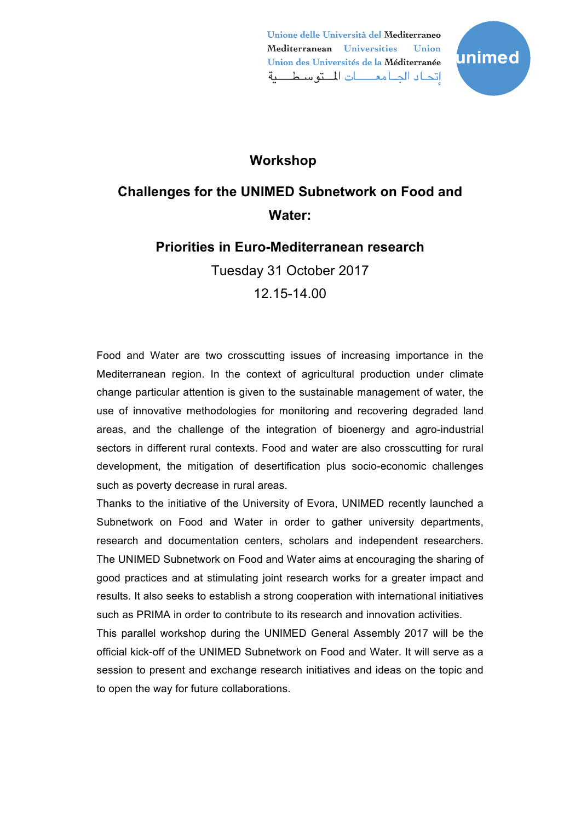Unione delle Università del Mediterraneo Mediterranean Universities **Union** Union des Universités de la Méditerranée إتحاد الجامعات المتوسطية



## **Workshop**

# **Challenges for the UNIMED Subnetwork on Food and Water:**

## **Priorities in Euro-Mediterranean research**

Tuesday 31 October 2017 12.15-14.00

Food and Water are two crosscutting issues of increasing importance in the Mediterranean region. In the context of agricultural production under climate change particular attention is given to the sustainable management of water, the use of innovative methodologies for monitoring and recovering degraded land areas, and the challenge of the integration of bioenergy and agro-industrial sectors in different rural contexts. Food and water are also crosscutting for rural development, the mitigation of desertification plus socio-economic challenges such as poverty decrease in rural areas.

Thanks to the initiative of the University of Evora, UNIMED recently launched a Subnetwork on Food and Water in order to gather university departments, research and documentation centers, scholars and independent researchers. The UNIMED Subnetwork on Food and Water aims at encouraging the sharing of good practices and at stimulating joint research works for a greater impact and results. It also seeks to establish a strong cooperation with international initiatives such as PRIMA in order to contribute to its research and innovation activities.

This parallel workshop during the UNIMED General Assembly 2017 will be the official kick-off of the UNIMED Subnetwork on Food and Water. It will serve as a session to present and exchange research initiatives and ideas on the topic and to open the way for future collaborations.